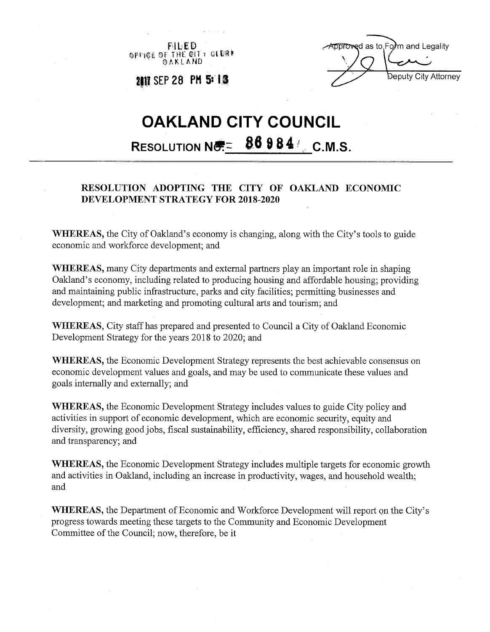FILED OPPICE OF THE CITY OF ERE



**211? SEP 28 PMSs lf** 

## **OAKLAND CITY COUNCIL RESOLUTION NO. 6 86 9 8 4 / C.M.S.**

## **RESOLUTION ADOPTING THE CITY OF OAKLAND ECONOMIC DEVELOPMENT STRATEGY FOR 2018-2020**

**WHEREAS,** the City of Oakland's economy is changing, along with the City's tools to guide economic and workforce development; and

**WHEREAS,** many City departments and external partners play an important role in shaping Oakland's economy, including related to producing housing and affordable housing; providing and maintaining public infrastructure, parks and city facilities; permitting businesses and development; and marketing and promoting cultural arts and tourism; and

**WHEREAS,** City staff has prepared and presented to Council a City of Oakland Economic Development Strategy for the years 2018 to 2020; and

**WHEREAS,** the Economic Development Strategy represents the best achievable consensus on economic development values and goals, and may be used to communicate these values and goals internally and externally; and

**WHEREAS,** the Economic Development Strategy includes values to guide City policy and activities in support of economic development, which are economic security, equity and diversity, growing good jobs, fiscal sustainability, efficiency, shared responsibility, collaboration and transparency; and

**WHEREAS,** the Economic Development Strategy includes multiple targets for economic growth and activities in Oakland, including an increase in productivity, wages, and household wealth; and

**WHEREAS,** the Department of Economic and Workforce Development will report on the City's progress towards meeting these targets to the Community and Economic Development Committee of the Council; now, therefore, be it